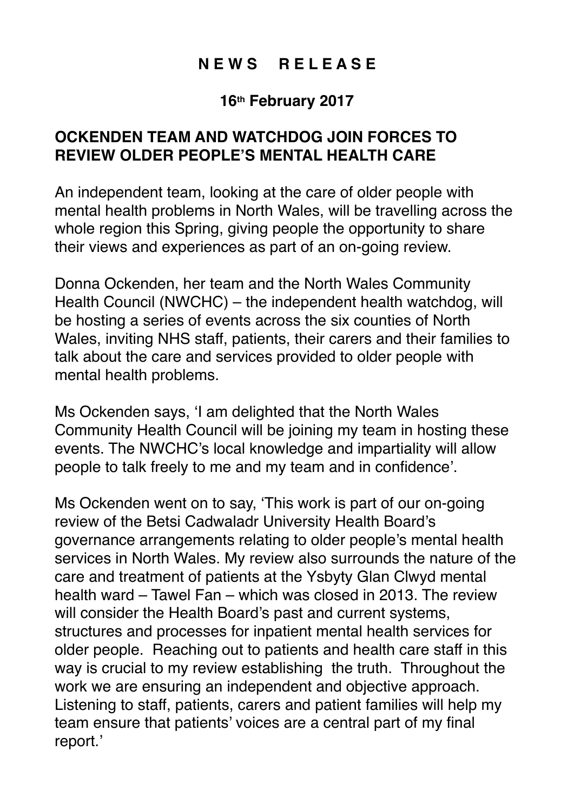## **N E W S R E L E A S E**

## **16th February 2017**

## **OCKENDEN TEAM AND WATCHDOG JOIN FORCES TO REVIEW OLDER PEOPLE'S MENTAL HEALTH CARE**

An independent team, looking at the care of older people with mental health problems in North Wales, will be travelling across the whole region this Spring, giving people the opportunity to share their views and experiences as part of an on-going review.

Donna Ockenden, her team and the North Wales Community Health Council (NWCHC) – the independent health watchdog, will be hosting a series of events across the six counties of North Wales, inviting NHS staff, patients, their carers and their families to talk about the care and services provided to older people with mental health problems.

Ms Ockenden says, 'I am delighted that the North Wales Community Health Council will be joining my team in hosting these events. The NWCHC's local knowledge and impartiality will allow people to talk freely to me and my team and in confidence'.

Ms Ockenden went on to say, 'This work is part of our on-going review of the Betsi Cadwaladr University Health Board's governance arrangements relating to older people's mental health services in North Wales. My review also surrounds the nature of the care and treatment of patients at the Ysbyty Glan Clwyd mental health ward – Tawel Fan – which was closed in 2013. The review will consider the Health Board's past and current systems, structures and processes for inpatient mental health services for older people. Reaching out to patients and health care staff in this way is crucial to my review establishing the truth. Throughout the work we are ensuring an independent and objective approach. Listening to staff, patients, carers and patient families will help my team ensure that patients' voices are a central part of my final report.'